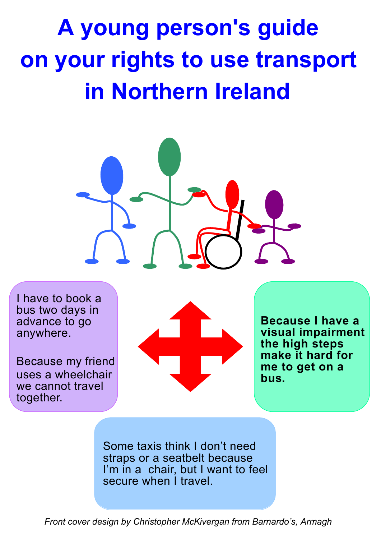# **A young person's guide on your rights to use transport in Northern Ireland**



I have to book a bus two days in advance to go anywhere.

Because my friend uses a wheelchair we cannot travel together.



**Because I have a visual impairment the high steps make it hard for me to get on a bus.**

Some taxis think I don't need straps or a seatbelt because I'm in a chair, but I want to feel secure when I travel

*Front cover design by Christopher McKivergan from Barnardo's, Armagh*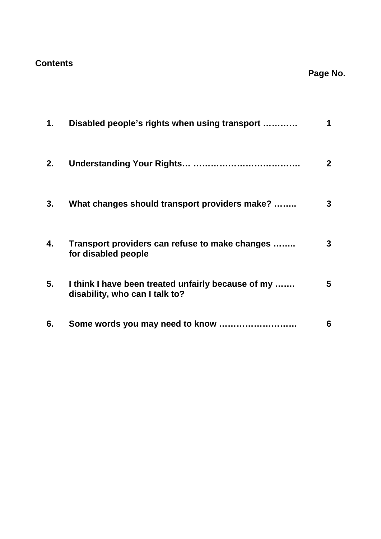## **Contents**

## **Page No.**

| 1. | Disabled people's rights when using transport                                        | 1              |
|----|--------------------------------------------------------------------------------------|----------------|
| 2. |                                                                                      | 2 <sup>1</sup> |
| 3. | What changes should transport providers make?                                        | 3              |
| 4. | Transport providers can refuse to make changes<br>for disabled people                | 3              |
| 5. | I think I have been treated unfairly because of my<br>disability, who can I talk to? | 5              |
| 6. |                                                                                      | 6              |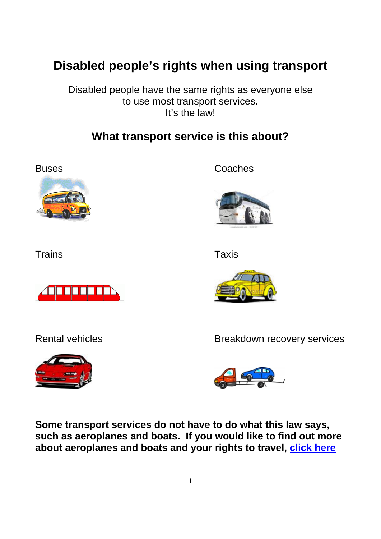# **Disabled people's rights when using transport**

Disabled people have the same rights as everyone else to use most transport services. It's the law!

# **What transport service is this about?**



Buses Coaches



Trains **The Taxis** Trains Taxis







Rental vehicles **Breakdown** recovery services



**Some transport services do not have to do what this law says, such as aeroplanes and boats. If you would like to find out more about aeroplanes and boats and your rights to travel, [click here](http://www.consumercouncil.org.uk/transport/)**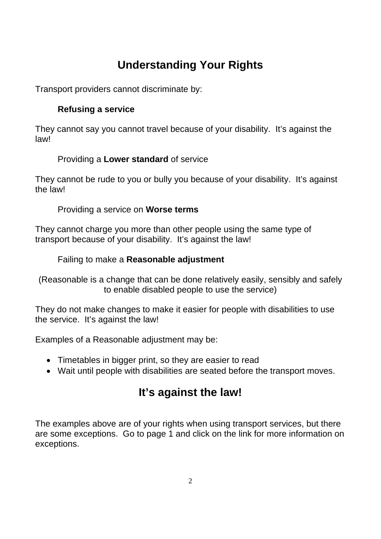# **Understanding Your Rights**

Transport providers cannot discriminate by:

#### **Refusing a service**

They cannot say you cannot travel because of your disability. It's against the law!

#### Providing a **Lower standard** of service

They cannot be rude to you or bully you because of your disability. It's against the law!

#### Providing a service on **Worse terms**

They cannot charge you more than other people using the same type of transport because of your disability. It's against the law!

#### Failing to make a **Reasonable adjustment**

(Reasonable is a change that can be done relatively easily, sensibly and safely to enable disabled people to use the service)

They do not make changes to make it easier for people with disabilities to use the service. It's against the law!

Examples of a Reasonable adjustment may be:

- Timetables in bigger print, so they are easier to read
- Wait until people with disabilities are seated before the transport moves.

# **It's against the law!**

The examples above are of your rights when using transport services, but there are some exceptions. Go to page 1 and click on the link for more information on exceptions.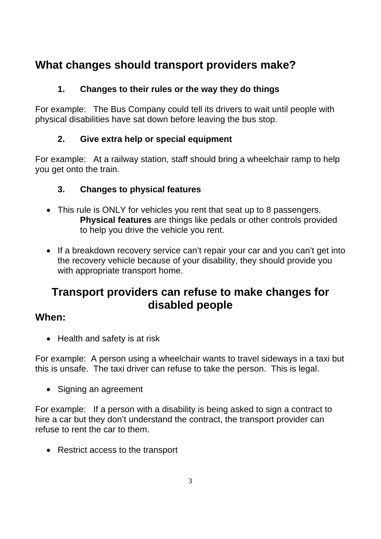# **What changes should transport providers make?**

#### **1. Changes to their rules or the way they do things**

For example: The Bus Company could tell its drivers to wait until people with physical disabilities have sat down before leaving the bus stop.

#### **2. Give extra help or special equipment**

For example: At a railway station, staff should bring a wheelchair ramp to help you get onto the train.

#### **3. Changes to physical features**

- This rule is ONLY for vehicles you rent that seat up to 8 passengers. **Physical features** are things like pedals or other controls provided to help you drive the vehicle you rent.
- If a breakdown recovery service can't repair your car and you can't get into the recovery vehicle because of your disability, they should provide you with appropriate transport home.

# **Transport providers can refuse to make changes for disabled people**

## **When:**

• Health and safety is at risk

For example: A person using a wheelchair wants to travel sideways in a taxi but this is unsafe. The taxi driver can refuse to take the person. This is legal.

• Signing an agreement

For example: If a person with a disability is being asked to sign a contract to hire a car but they don't understand the contract, the transport provider can refuse to rent the car to them.

• Restrict access to the transport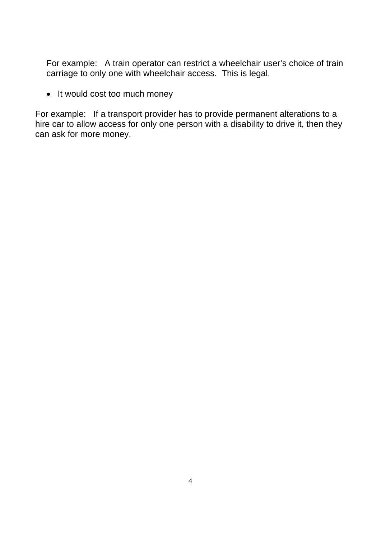For example: A train operator can restrict a wheelchair user's choice of train carriage to only one with wheelchair access. This is legal.

• It would cost too much money

For example: If a transport provider has to provide permanent alterations to a hire car to allow access for only one person with a disability to drive it, then they can ask for more money.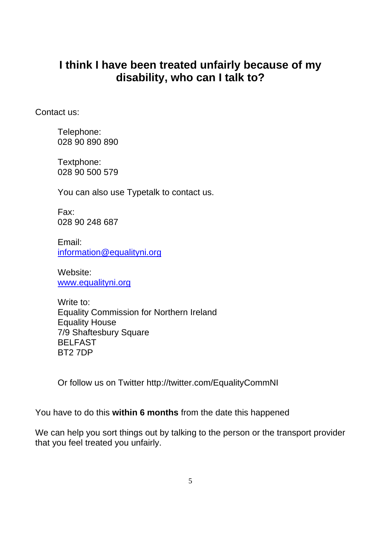# **I think I have been treated unfairly because of my disability, who can I talk to?**

Contact us:

Telephone: 028 90 890 890

Textphone: 028 90 500 579

You can also use Typetalk to contact us.

Fax: 028 90 248 687

Email: information@equalityni.org

Website: www.equalityni.org

Write to: Equality Commission for Northern Ireland Equality House 7/9 Shaftesbury Square BELFAST BT2 7DP

Or follow us on Twitter http://twitter.com/EqualityCommNI

You have to do this **within 6 months** from the date this happened

We can help you sort things out by talking to the person or the transport provider that you feel treated you unfairly.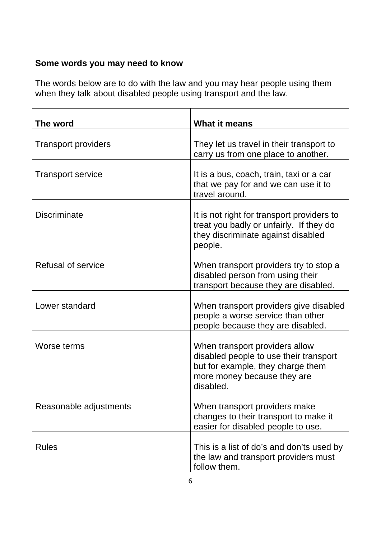## **Some words you may need to know**

The words below are to do with the law and you may hear people using them when they talk about disabled people using transport and the law.

| The word                   | <b>What it means</b>                                                                                                                                      |
|----------------------------|-----------------------------------------------------------------------------------------------------------------------------------------------------------|
| <b>Transport providers</b> | They let us travel in their transport to<br>carry us from one place to another.                                                                           |
| <b>Transport service</b>   | It is a bus, coach, train, taxi or a car<br>that we pay for and we can use it to<br>travel around.                                                        |
| <b>Discriminate</b>        | It is not right for transport providers to<br>treat you badly or unfairly. If they do<br>they discriminate against disabled<br>people.                    |
| Refusal of service         | When transport providers try to stop a<br>disabled person from using their<br>transport because they are disabled.                                        |
| Lower standard             | When transport providers give disabled<br>people a worse service than other<br>people because they are disabled.                                          |
| Worse terms                | When transport providers allow<br>disabled people to use their transport<br>but for example, they charge them<br>more money because they are<br>disabled. |
| Reasonable adjustments     | When transport providers make<br>changes to their transport to make it<br>easier for disabled people to use.                                              |
| <b>Rules</b>               | This is a list of do's and don'ts used by<br>the law and transport providers must<br>follow them.                                                         |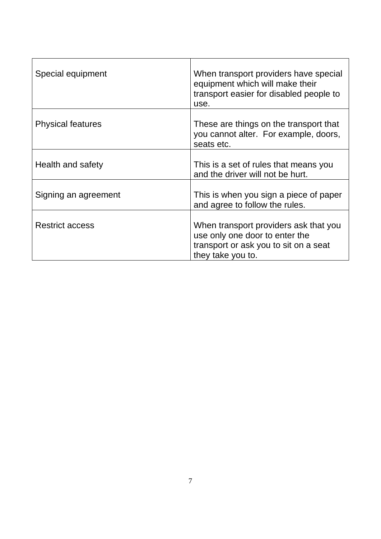| Special equipment        | When transport providers have special<br>equipment which will make their<br>transport easier for disabled people to<br>use.           |
|--------------------------|---------------------------------------------------------------------------------------------------------------------------------------|
| <b>Physical features</b> | These are things on the transport that<br>you cannot alter. For example, doors,<br>seats etc.                                         |
| Health and safety        | This is a set of rules that means you<br>and the driver will not be hurt.                                                             |
| Signing an agreement     | This is when you sign a piece of paper<br>and agree to follow the rules.                                                              |
| <b>Restrict access</b>   | When transport providers ask that you<br>use only one door to enter the<br>transport or ask you to sit on a seat<br>they take you to. |